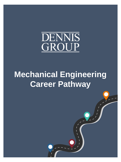

# **Mechanical Engineering Career Pathway**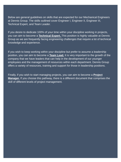Below are general guidelines on skills that are expected for our Mechanical Engineers at Dennis Group. The skills outlined cover Engineer I, Engineer II, Engineer III, Technical Expert, and Team Leader.

If you desire to dedicate 100% of your time within your discipline working in projects, you can aim to become a **Technical Expert.** This position is highly valuable at Dennis Group as we are frequently facing engineering challenges that require a lot of technical knowledge and experience.

If you wish to keep working within your discipline but prefer to assume a leadership position, you can aim to become a **Team Lead.** It is very important to the growth of the company that we have leaders that can help in the development of our younger employees and the management of resources within each department. Dennis Group offers a variety of resources, training and support for those in leadership positions.

Finally, if you wish to start managing projects, you can aim to become a **Project Manager.** If you choose this pathway, there is a different document that comprises the skill of different levels of project management.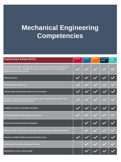## **Mechanical Engineering Competencies**

| <b>Engineering &amp; Design (HVAC)</b>                                                                                                                                                                                 | <b>Engineer</b> | <b>Engineer</b><br>H. | <b>Engineer</b><br>TH. | <b>Technical</b><br><b>Expert</b> | <b>Team</b><br>Lead |
|------------------------------------------------------------------------------------------------------------------------------------------------------------------------------------------------------------------------|-----------------|-----------------------|------------------------|-----------------------------------|---------------------|
| Equipment knowledge: Fan curves, fan types, accessories (curbs dampers, grilles), duct<br>types, insulation, VAV's, VRV/VRF, filter types, coils, burners, & other (unit heaters,<br>baseboard devices, split systems) |                 |                       |                        |                                   |                     |
| Diffuser selection                                                                                                                                                                                                     |                 |                       |                        |                                   |                     |
| Sizing (ductwork, end devices)                                                                                                                                                                                         |                 |                       |                        |                                   |                     |
| Sanitary design considerations (layouts, process exhaust)                                                                                                                                                              |                 |                       |                        |                                   |                     |
| Calculations: Space heat loads, pressure drop, master calculation sheets, LEED / Code<br>ventilation rates & surface heat transfer                                                                                     |                 |                       |                        |                                   |                     |
| Ventilation: Fresh air, recirculation, & dilution                                                                                                                                                                      |                 |                       |                        |                                   |                     |
| Conditioning methods: Full cooling & heat removal                                                                                                                                                                      |                 |                       |                        |                                   |                     |
| <b>Controls Functional description development</b>                                                                                                                                                                     |                 |                       |                        |                                   |                     |
| Software: 3EPlus, Trane Trace, Cook program, Psycalc program, & Engineering Tool Box                                                                                                                                   |                 |                       |                        |                                   |                     |
| References: ASHRAE, NIOSH, Industrial Ventilation, Cook                                                                                                                                                                |                 |                       |                        |                                   |                     |
| <b>Building Code Familiarity, Compliance &amp; Review</b>                                                                                                                                                              |                 |                       |                        |                                   |                     |
| <b>Specifications: Create, review existing</b>                                                                                                                                                                         |                 |                       |                        |                                   |                     |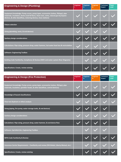| <b>Engineering &amp; Design (Plumbing)</b>                                                                                                                                                                                                   | Engineer | <b>Engineer</b><br>Ш | <b>Engineer</b><br>Ш | <b>Technical</b><br><b>Expert</b> | <b>Team</b><br>Lead |
|----------------------------------------------------------------------------------------------------------------------------------------------------------------------------------------------------------------------------------------------|----------|----------------------|----------------------|-----------------------------------|---------------------|
| Equipment knowledge: Pump curves, pump types, accessories (valves, fittings), pipe<br>materials, insulation, drains (roof & floor), clean-outs, vents, natural gas & propane<br>devices, & other (backflow, metering devices, hose stations) |          |                      |                      |                                   |                     |
| <b>Fixture selection</b>                                                                                                                                                                                                                     |          |                      |                      |                                   |                     |
| Sizing (plumbing, vents, & end devices)                                                                                                                                                                                                      |          |                      |                      |                                   |                     |
| <b>Sanitary design considerations</b>                                                                                                                                                                                                        |          |                      |                      |                                   |                     |
| Calculations: Pipe sizing, pressure drop, water hammer, hot water heat loss & recirculation                                                                                                                                                  |          |                      |                      |                                   |                     |
| <b>Software: Engineering Toolbox</b>                                                                                                                                                                                                         |          |                      |                      |                                   |                     |
| Building Code Familiarity, Compliance & Review (DWV and water system Riser Diagrams)                                                                                                                                                         |          |                      |                      |                                   |                     |
| <b>Specifications: Create, review existing</b>                                                                                                                                                                                               |          |                      |                      |                                   |                     |

| <b>Engineering &amp; Design (Fire Protection)</b>                                                                                                                 | <b>Engineer</b> | <b>Engineer</b><br>Ш | <b>Engineer</b><br>Ш. | <b>Technical</b><br><b>Expert</b> | <b>Team</b><br>Lead |
|-------------------------------------------------------------------------------------------------------------------------------------------------------------------|-----------------|----------------------|-----------------------|-----------------------------------|---------------------|
| Equipment knowledge: Pump curves, pump types, accessories (valves, fittings), pipe<br>materials, insulation, sprinkler heads, & other (backflow, control devices) |                 |                      |                       |                                   |                     |
| Knowledge of hazard classifications                                                                                                                               |                 |                      |                       |                                   |                     |
| Flow test (hydrant or other) analysis                                                                                                                             |                 |                      |                       |                                   |                     |
| Sizing (piping, fire pump, water storage tanks, & end devices)                                                                                                    |                 |                      |                       |                                   |                     |
| <b>Sanitary design considerations</b>                                                                                                                             |                 |                      |                       |                                   |                     |
| Calculations: Pipe sizing, pressure drop, water hammer, & end device flow                                                                                         |                 |                      |                       |                                   |                     |
| Software: SprinklerCalc, Engineering Toolbox                                                                                                                      |                 |                      |                       |                                   |                     |
| <b>NFPA Code Familiarity &amp; Review</b>                                                                                                                         |                 |                      |                       |                                   |                     |
| Insurance Carrier Requirements – Familiarity and review (FM Global, Liberty Mutual, etc.)                                                                         |                 |                      |                       |                                   |                     |
| <b>Specifications: Create, review existing</b>                                                                                                                    |                 |                      |                       |                                   |                     |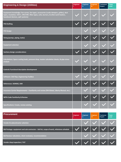| <b>Engineering &amp; Design (Utilities)</b>                                                                                                                                                                            | <b>Engineer</b><br>ï | Engineer<br>H. | <b>Engineer</b><br>m. | <b>Technical</b><br><b>Expert</b> | <b>Team</b><br>Lead |
|------------------------------------------------------------------------------------------------------------------------------------------------------------------------------------------------------------------------|----------------------|----------------|-----------------------|-----------------------------------|---------------------|
| Equipment knowledge: Fan curves, fan types, accessories (curbs dampers, grilles), duct<br>types, insulation, VAV's, VRV/VRF, filter types, coils, burners, & other (unit heaters,<br>baseboard devices, split systems) |                      |                |                       |                                   |                     |
| <b>PID Drafting</b>                                                                                                                                                                                                    |                      |                |                       |                                   |                     |
| <b>PID Design</b>                                                                                                                                                                                                      |                      |                |                       |                                   |                     |
| Sizing (pumps, piping, tanks)                                                                                                                                                                                          |                      |                |                       |                                   |                     |
| <b>Equipment selection</b>                                                                                                                                                                                             |                      |                |                       |                                   |                     |
| Sanitary design considerations                                                                                                                                                                                         |                      |                |                       |                                   |                     |
| Calculations: Space cooling loads, pressure drop, master calculation sheets, & pipe stress<br>analysis                                                                                                                 |                      |                |                       |                                   |                     |
| <b>Controls Functional description development</b>                                                                                                                                                                     |                      |                |                       |                                   |                     |
| <b>Software: CAE Pipe, Engineering Toolbox</b>                                                                                                                                                                         |                      |                |                       |                                   |                     |
| References: ASHRAE, IIAR                                                                                                                                                                                               |                      |                |                       |                                   |                     |
| Insurance Carrier Requirements - Familiarity and review (FM Global, Liberty Mutual, etc.)                                                                                                                              |                      |                |                       |                                   |                     |
| <b>NFPA Code Familiarity &amp; Review</b>                                                                                                                                                                              |                      |                |                       |                                   |                     |
| <b>Specifications: Create, review existing</b>                                                                                                                                                                         |                      |                |                       |                                   |                     |

| <b>Procurement</b>                                                                      | Engineer | Engineer | Engineer<br><b>THE</b> | <b>Technical</b><br>Expert | <b>Team</b><br>Lead |
|-----------------------------------------------------------------------------------------|----------|----------|------------------------|----------------------------|---------------------|
| Vendor & subcontractor selection                                                        |          |          |                        | $ \vee \vee $              |                     |
| Bid Package: equipment and sub-contractor - bid list, scope of work, milestone schedule |          |          |                        |                            |                     |
| Bid Review: tabulation, client review(s), recommendation                                |          |          |                        |                            |                     |
| Vendor shop inspection / FAT                                                            |          |          |                        |                            |                     |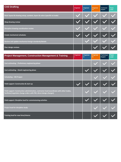| <b>CAD Drafting</b>                                                        | Engineer | <b>Engineer</b><br>ш | <b>Engineer</b><br>TH. | <b>Technical</b><br>Expert | <b>Team</b><br>Lead |
|----------------------------------------------------------------------------|----------|----------------------|------------------------|----------------------------|---------------------|
| Basic layout & drawing setup, symbols, layers & colors (specific to trade) |          |                      |                        |                            |                     |
| Shop drawing review                                                        |          |                      |                        |                            |                     |
| Discipline drawing coordination review                                     |          |                      |                        |                            |                     |
| <b>Create mechanical schedules</b>                                         |          |                      |                        |                            |                     |
| Review and update mechanical design standards/details                      |          |                      |                        |                            |                     |
| Peer design reviews                                                        |          |                      |                        |                            |                     |

| <b>Project Management, Construction Management &amp; Training</b>                                                                                                | <b>Engineer</b> | <b>Engineer</b><br>Ш | Engineer<br>Ш | <b>Technical</b><br><b>Expert</b> | <b>Team</b><br>Lead |
|------------------------------------------------------------------------------------------------------------------------------------------------------------------|-----------------|----------------------|---------------|-----------------------------------|---------------------|
| Cost estimating - Preliminary engineering phase                                                                                                                  |                 |                      |               |                                   |                     |
| Cost estimating - Detail engineering phase                                                                                                                       |                 |                      |               |                                   |                     |
| <b>Scheduling - MS Project</b>                                                                                                                                   |                 |                      |               |                                   |                     |
| Field support: Construction & start-up                                                                                                                           |                 |                      |               |                                   |                     |
| Field support: Construction administration, contractor lead (coordinate with other trades,<br>facilitate/negotiate change orders with PM, direct design changes) |                 |                      |               |                                   |                     |
| Field support: Discipline lead for commissioning activities                                                                                                      |                 |                      |               |                                   |                     |
| Project lead for discipline study                                                                                                                                |                 |                      |               |                                   |                     |
| Training lead for new hires/interns                                                                                                                              |                 |                      |               |                                   |                     |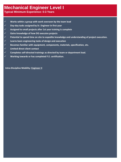### **Mechanical Engineer Level I**

**Typical Minimum Experience: 0-3 Years** 

- ✓ **Works within a group with work overseen by the team lead**
- ✓ **Day-day tasks assigned by Sr. Engineer in first year**
- ✓ **Assigned to small projects after 1st year training is complete**
- ✓ **Gains knowledge of how DG executes projects**
- ✓ **Potential to spend time on site to expedite knowledge and understanding of project execution.**
- ✓ **Learns basic engineering tasks of design and execution**
- ✓ **Becomes familiar with equipment, components, materials, specification, etc.**
- ✓ **Limited direct client contact**
- ✓ **Completes self-directed trainings as directed by team or department lead.**
- ✓ **Working towards or has completed F.E. certification.**

**Intra-Discipline Mobility: Engineer II**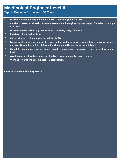#### **Mechanical Engineer Level II**

**Typical Minimum Experience: 3-6 Years**

- ✓ **May work independently or with other ME's, depending on project size.**
- ✓ **Capable of executing all tasks necessary to complete the engineering on a project from design through execution.**
- ✓ **May still need to rely on Eng III or Lead for day-to-day design feedback.**
- ✓ **Interfaces directly with clients.**
- ✓ **Can provide cost estimation and scheduling to PM's.**
- ✓ **May present engineering findings to clients and be lead mechanical engineer based on project scope and size. Depending on job a 3–6-year individual should be able to perform this task.**
- ✓ **Completes job improvement or engineer sought training courses as approved by team or department lead.**
- ✓ **Assist department leads in department initiatives and standards improvements.**
- ✓ **Working towards or has completed F.E. certification.**

**Intra-Discipline Mobility: Engineer III**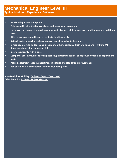#### **Mechanical Engineer Level III**

**Typical Minimum Experience: 6-8 Years**

- ✓ **Works independently on projects.**
- ✓ **Fully versed in all activities associated with design and execution.**
- ✓ **Has successful executed several large mechanical projects (of various sizes, applications and in different roles)**
- ✓ **Able to work on several involved projects simultaneously.**
- ✓ **Subject matter expert in multiple areas or specific mechanical systems.**
- ✓ **Is required provide guidance and direction to other engineers. (Both Eng I and Eng II withing ME department and other departments)**
- ✓ **Interfaces directly with clients.**
- ✓ **Completes job improvement or engineer sought training courses as approved by team or department lead.**
- ✓ **Assist department leads in department initiatives and standards improvements.**
- ✓ **Has obtained P.E. certification - Preferred, not required.**

**Intra-Discipline Mobility: Technical Expert, Team Lead Other Mobility: Assistant Project Manager**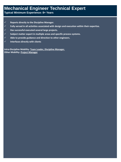### **Mechanical Engineer Technical Expert**

**Typical Minimum Experience: 8+ Years**

- ✓ **Reports directly to the Discipline Manager.**
- ✓ **Fully versed in all activities associated with design and execution within their expertise.**
- ✓ **Has successful executed several large projects.**
- ✓ **Subject matter expert in multiple areas and specific process systems.**
- ✓ **Able to provide guidance and direction to other engineers.**
- ✓ **Interfaces directly with clients**

**Intra-Discipline Mobility: Team Leader, Discipline Manager. Other Mobility: Project Manager**